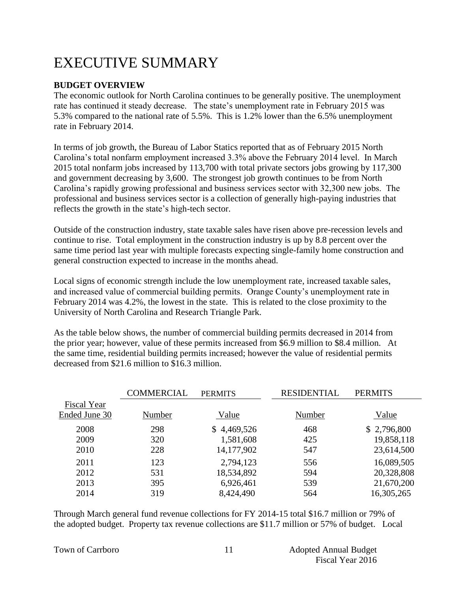# EXECUTIVE SUMMARY

#### **BUDGET OVERVIEW**

The economic outlook for North Carolina continues to be generally positive. The unemployment rate has continued it steady decrease. The state's unemployment rate in February 2015 was 5.3% compared to the national rate of 5.5%. This is 1.2% lower than the 6.5% unemployment rate in February 2014.

In terms of job growth, the Bureau of Labor Statics reported that as of February 2015 North Carolina's total nonfarm employment increased 3.3% above the February 2014 level. In March 2015 total nonfarm jobs increased by 113,700 with total private sectors jobs growing by 117,300 and government decreasing by 3,600. The strongest job growth continues to be from North Carolina's rapidly growing professional and business services sector with 32,300 new jobs. The professional and business services sector is a collection of generally high-paying industries that reflects the growth in the state's high-tech sector.

Outside of the construction industry, state taxable sales have risen above pre-recession levels and continue to rise. Total employment in the construction industry is up by 8.8 percent over the same time period last year with multiple forecasts expecting single-family home construction and general construction expected to increase in the months ahead.

Local signs of economic strength include the low unemployment rate, increased taxable sales, and increased value of commercial building permits. Orange County's unemployment rate in February 2014 was 4.2%, the lowest in the state. This is related to the close proximity to the University of North Carolina and Research Triangle Park.

As the table below shows, the number of commercial building permits decreased in 2014 from the prior year; however, value of these permits increased from \$6.9 million to \$8.4 million. At the same time, residential building permits increased; however the value of residential permits decreased from \$21.6 million to \$16.3 million.

|               | COMMERCIAL | <b>PERMITS</b> | <b>RESIDENTIAL</b> | <b>PERMITS</b> |
|---------------|------------|----------------|--------------------|----------------|
| Fiscal Year   |            |                |                    |                |
| Ended June 30 | Number     | Value          | Number             | Value          |
| 2008          | 298        | \$4,469,526    | 468                | \$2,796,800    |
| 2009          | 320        | 1,581,608      | 425                | 19,858,118     |
| 2010          | 228        | 14,177,902     | 547                | 23,614,500     |
| 2011          | 123        | 2,794,123      | 556                | 16,089,505     |
| 2012          | 531        | 18,534,892     | 594                | 20,328,808     |
| 2013          | 395        | 6,926,461      | 539                | 21,670,200     |
| 2014          | 319        | 8,424,490      | 564                | 16,305,265     |

Through March general fund revenue collections for FY 2014-15 total \$16.7 million or 79% of the adopted budget. Property tax revenue collections are \$11.7 million or 57% of budget. Local

|  |  | <b>Town of Carrboro</b> |
|--|--|-------------------------|
|--|--|-------------------------|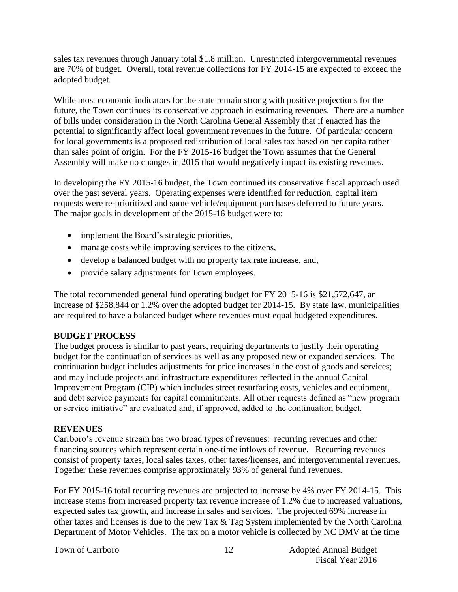sales tax revenues through January total \$1.8 million. Unrestricted intergovernmental revenues are 70% of budget. Overall, total revenue collections for FY 2014-15 are expected to exceed the adopted budget.

While most economic indicators for the state remain strong with positive projections for the future, the Town continues its conservative approach in estimating revenues. There are a number of bills under consideration in the North Carolina General Assembly that if enacted has the potential to significantly affect local government revenues in the future. Of particular concern for local governments is a proposed redistribution of local sales tax based on per capita rather than sales point of origin. For the FY 2015-16 budget the Town assumes that the General Assembly will make no changes in 2015 that would negatively impact its existing revenues.

In developing the FY 2015-16 budget, the Town continued its conservative fiscal approach used over the past several years. Operating expenses were identified for reduction, capital item requests were re-prioritized and some vehicle/equipment purchases deferred to future years. The major goals in development of the 2015-16 budget were to:

- implement the Board's strategic priorities,
- manage costs while improving services to the citizens,
- develop a balanced budget with no property tax rate increase, and,
- provide salary adjustments for Town employees.

The total recommended general fund operating budget for FY 2015-16 is \$21,572,647, an increase of \$258,844 or 1.2% over the adopted budget for 2014-15. By state law, municipalities are required to have a balanced budget where revenues must equal budgeted expenditures.

#### **BUDGET PROCESS**

The budget process is similar to past years, requiring departments to justify their operating budget for the continuation of services as well as any proposed new or expanded services. The continuation budget includes adjustments for price increases in the cost of goods and services; and may include projects and infrastructure expenditures reflected in the annual Capital Improvement Program (CIP) which includes street resurfacing costs, vehicles and equipment, and debt service payments for capital commitments. All other requests defined as "new program or service initiative" are evaluated and, if approved, added to the continuation budget.

#### **REVENUES**

Carrboro's revenue stream has two broad types of revenues: recurring revenues and other financing sources which represent certain one-time inflows of revenue. Recurring revenues consist of property taxes, local sales taxes, other taxes/licenses, and intergovernmental revenues. Together these revenues comprise approximately 93% of general fund revenues.

For FY 2015-16 total recurring revenues are projected to increase by 4% over FY 2014-15. This increase stems from increased property tax revenue increase of 1.2% due to increased valuations, expected sales tax growth, and increase in sales and services. The projected 69% increase in other taxes and licenses is due to the new Tax & Tag System implemented by the North Carolina Department of Motor Vehicles. The tax on a motor vehicle is collected by NC DMV at the time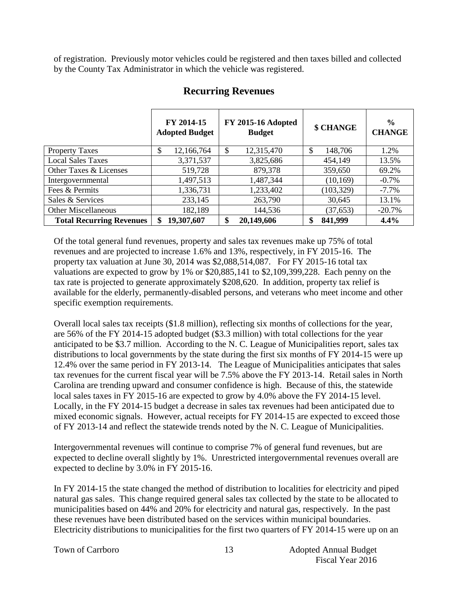of registration. Previously motor vehicles could be registered and then taxes billed and collected by the County Tax Administrator in which the vehicle was registered.

|                                 | FY 2014-15<br><b>Adopted Budget</b> | <b>FY 2015-16 Adopted</b><br><b>Budget</b> | \$ CHANGE     | $\frac{6}{9}$<br><b>CHANGE</b> |
|---------------------------------|-------------------------------------|--------------------------------------------|---------------|--------------------------------|
| <b>Property Taxes</b>           | 12,166,764<br>S                     | 12,315,470<br>\$                           | \$<br>148,706 | 1.2%                           |
| <b>Local Sales Taxes</b>        | 3,371,537                           | 3,825,686                                  | 454,149       | 13.5%                          |
| Other Taxes & Licenses          | 519,728                             | 879,378                                    | 359,650       | 69.2%                          |
| Intergovernmental               | 1,497,513                           | 1,487,344                                  | (10, 169)     | $-0.7\%$                       |
| Fees & Permits                  | 1,336,731                           | 1,233,402                                  | (103, 329)    | $-7.7\%$                       |
| Sales & Services                | 233,145                             | 263,790                                    | 30,645        | 13.1%                          |
| <b>Other Miscellaneous</b>      | 182,189                             | 144,536                                    | (37, 653)     | $-20.7%$                       |
| <b>Total Recurring Revenues</b> | 19,307,607<br>\$                    | \$<br>20,149,606                           | 841,999<br>\$ | 4.4%                           |

## **Recurring Revenues**

Of the total general fund revenues, property and sales tax revenues make up 75% of total revenues and are projected to increase 1.6% and 13%, respectively, in FY 2015-16. The property tax valuation at June 30, 2014 was \$2,088,514,087. For FY 2015-16 total tax valuations are expected to grow by 1% or \$20,885,141 to \$2,109,399,228. Each penny on the tax rate is projected to generate approximately \$208,620. In addition, property tax relief is available for the elderly, permanently-disabled persons, and veterans who meet income and other specific exemption requirements.

Overall local sales tax receipts (\$1.8 million), reflecting six months of collections for the year, are 56% of the FY 2014-15 adopted budget (\$3.3 million) with total collections for the year anticipated to be \$3.7 million. According to the N. C. League of Municipalities report, sales tax distributions to local governments by the state during the first six months of FY 2014-15 were up 12.4% over the same period in FY 2013-14. The League of Municipalities anticipates that sales tax revenues for the current fiscal year will be 7.5% above the FY 2013-14. Retail sales in North Carolina are trending upward and consumer confidence is high. Because of this, the statewide local sales taxes in FY 2015-16 are expected to grow by 4.0% above the FY 2014-15 level. Locally, in the FY 2014-15 budget a decrease in sales tax revenues had been anticipated due to mixed economic signals. However, actual receipts for FY 2014-15 are expected to exceed those of FY 2013-14 and reflect the statewide trends noted by the N. C. League of Municipalities.

Intergovernmental revenues will continue to comprise 7% of general fund revenues, but are expected to decline overall slightly by 1%. Unrestricted intergovernmental revenues overall are expected to decline by 3.0% in FY 2015-16.

In FY 2014-15 the state changed the method of distribution to localities for electricity and piped natural gas sales. This change required general sales tax collected by the state to be allocated to municipalities based on 44% and 20% for electricity and natural gas, respectively. In the past these revenues have been distributed based on the services within municipal boundaries. Electricity distributions to municipalities for the first two quarters of FY 2014-15 were up on an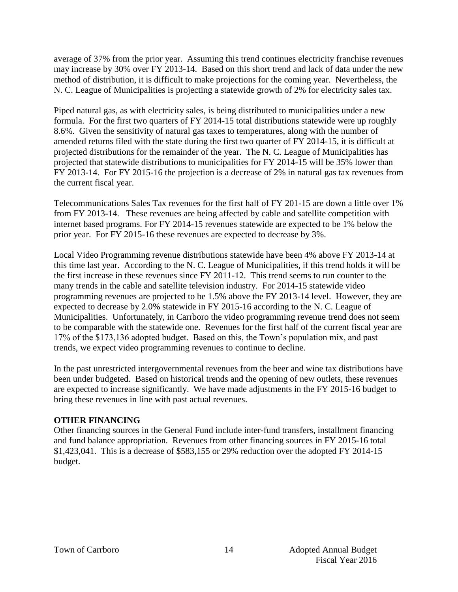average of 37% from the prior year. Assuming this trend continues electricity franchise revenues may increase by 30% over FY 2013-14. Based on this short trend and lack of data under the new method of distribution, it is difficult to make projections for the coming year. Nevertheless, the N. C. League of Municipalities is projecting a statewide growth of 2% for electricity sales tax.

Piped natural gas, as with electricity sales, is being distributed to municipalities under a new formula. For the first two quarters of FY 2014-15 total distributions statewide were up roughly 8.6%. Given the sensitivity of natural gas taxes to temperatures, along with the number of amended returns filed with the state during the first two quarter of FY 2014-15, it is difficult at projected distributions for the remainder of the year. The N. C. League of Municipalities has projected that statewide distributions to municipalities for FY 2014-15 will be 35% lower than FY 2013-14. For FY 2015-16 the projection is a decrease of 2% in natural gas tax revenues from the current fiscal year.

Telecommunications Sales Tax revenues for the first half of FY 201-15 are down a little over 1% from FY 2013-14. These revenues are being affected by cable and satellite competition with internet based programs. For FY 2014-15 revenues statewide are expected to be 1% below the prior year. For FY 2015-16 these revenues are expected to decrease by 3%.

Local Video Programming revenue distributions statewide have been 4% above FY 2013-14 at this time last year. According to the N. C. League of Municipalities, if this trend holds it will be the first increase in these revenues since FY 2011-12. This trend seems to run counter to the many trends in the cable and satellite television industry. For 2014-15 statewide video programming revenues are projected to be 1.5% above the FY 2013-14 level. However, they are expected to decrease by 2.0% statewide in FY 2015-16 according to the N. C. League of Municipalities. Unfortunately, in Carrboro the video programming revenue trend does not seem to be comparable with the statewide one. Revenues for the first half of the current fiscal year are 17% of the \$173,136 adopted budget. Based on this, the Town's population mix, and past trends, we expect video programming revenues to continue to decline.

In the past unrestricted intergovernmental revenues from the beer and wine tax distributions have been under budgeted. Based on historical trends and the opening of new outlets, these revenues are expected to increase significantly. We have made adjustments in the FY 2015-16 budget to bring these revenues in line with past actual revenues.

#### **OTHER FINANCING**

Other financing sources in the General Fund include inter-fund transfers, installment financing and fund balance appropriation. Revenues from other financing sources in FY 2015-16 total \$1,423,041. This is a decrease of \$583,155 or 29% reduction over the adopted FY 2014-15 budget.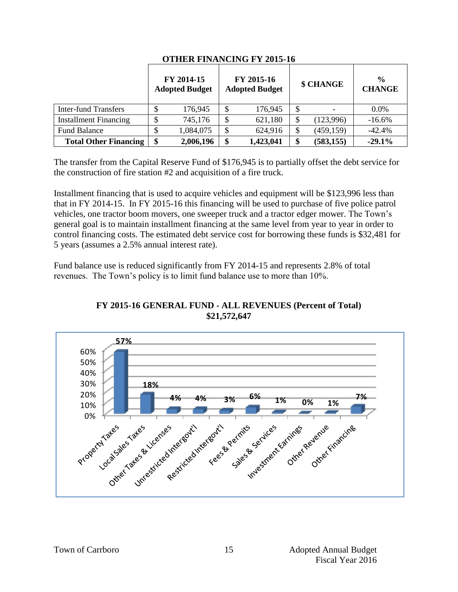|                              | FY 2014-15<br><b>Adopted Budget</b> | FY 2015-16<br><b>Adopted Budget</b> | \$ CHANGE        | $\frac{0}{0}$<br><b>CHANGE</b> |
|------------------------------|-------------------------------------|-------------------------------------|------------------|--------------------------------|
| Inter-fund Transfers         | 176,945                             | \$<br>176,945                       | \$               | $0.0\%$                        |
| <b>Installment Financing</b> | 745,176                             | \$<br>621,180                       | (123,996)        | $-16.6%$                       |
| <b>Fund Balance</b>          | 1,084,075                           | \$<br>624,916                       | (459, 159)       | $-42.4%$                       |
| <b>Total Other Financing</b> | \$<br>2,006,196                     | \$<br>1,423,041                     | \$<br>(583, 155) | $-29.1%$                       |

#### **OTHER FINANCING FY 2015-16**

The transfer from the Capital Reserve Fund of \$176,945 is to partially offset the debt service for the construction of fire station #2 and acquisition of a fire truck.

Installment financing that is used to acquire vehicles and equipment will be \$123,996 less than that in FY 2014-15. In FY 2015-16 this financing will be used to purchase of five police patrol vehicles, one tractor boom movers, one sweeper truck and a tractor edger mower. The Town's general goal is to maintain installment financing at the same level from year to year in order to control financing costs. The estimated debt service cost for borrowing these funds is \$32,481 for 5 years (assumes a 2.5% annual interest rate).

Fund balance use is reduced significantly from FY 2014-15 and represents 2.8% of total revenues. The Town's policy is to limit fund balance use to more than 10%.



#### **FY 2015-16 GENERAL FUND - ALL REVENUES (Percent of Total) \$21,572,647**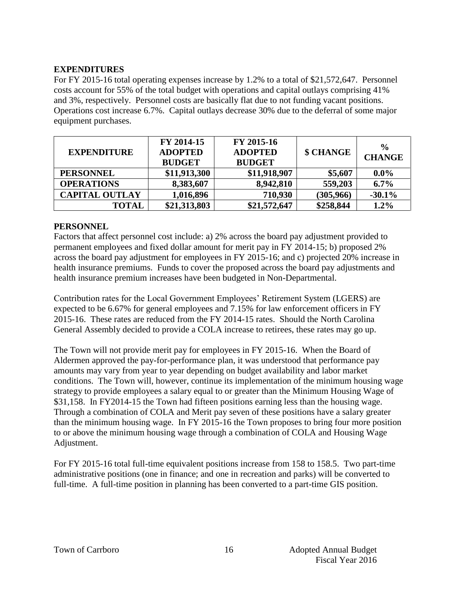#### **EXPENDITURES**

For FY 2015-16 total operating expenses increase by 1.2% to a total of \$21,572,647. Personnel costs account for 55% of the total budget with operations and capital outlays comprising 41% and 3%, respectively. Personnel costs are basically flat due to not funding vacant positions. Operations cost increase 6.7%. Capital outlays decrease 30% due to the deferral of some major equipment purchases.

| <b>EXPENDITURE</b>    | FY 2014-15<br><b>ADOPTED</b><br><b>BUDGET</b> | FY 2015-16<br><b>ADOPTED</b><br><b>BUDGET</b> | \$ CHANGE | $\frac{6}{9}$<br><b>CHANGE</b> |
|-----------------------|-----------------------------------------------|-----------------------------------------------|-----------|--------------------------------|
| <b>PERSONNEL</b>      | \$11,913,300                                  | \$11,918,907                                  | \$5,607   | $0.0\%$                        |
| <b>OPERATIONS</b>     | 8,383,607                                     | 8,942,810                                     | 559,203   | $6.7\%$                        |
| <b>CAPITAL OUTLAY</b> | 1,016,896                                     | 710,930                                       | (305,966) | $-30.1%$                       |
| <b>TOTAL</b>          | \$21,313,803                                  | \$21,572,647                                  | \$258,844 | $1.2\%$                        |

#### **PERSONNEL**

Factors that affect personnel cost include: a) 2% across the board pay adjustment provided to permanent employees and fixed dollar amount for merit pay in FY 2014-15; b) proposed 2% across the board pay adjustment for employees in FY 2015-16; and c) projected 20% increase in health insurance premiums. Funds to cover the proposed across the board pay adjustments and health insurance premium increases have been budgeted in Non-Departmental.

Contribution rates for the Local Government Employees' Retirement System (LGERS) are expected to be 6.67% for general employees and 7.15% for law enforcement officers in FY 2015-16. These rates are reduced from the FY 2014-15 rates. Should the North Carolina General Assembly decided to provide a COLA increase to retirees, these rates may go up.

The Town will not provide merit pay for employees in FY 2015-16. When the Board of Aldermen approved the pay-for-performance plan, it was understood that performance pay amounts may vary from year to year depending on budget availability and labor market conditions. The Town will, however, continue its implementation of the minimum housing wage strategy to provide employees a salary equal to or greater than the Minimum Housing Wage of \$31,158. In FY2014-15 the Town had fifteen positions earning less than the housing wage. Through a combination of COLA and Merit pay seven of these positions have a salary greater than the minimum housing wage. In FY 2015-16 the Town proposes to bring four more position to or above the minimum housing wage through a combination of COLA and Housing Wage Adjustment.

For FY 2015-16 total full-time equivalent positions increase from 158 to 158.5. Two part-time administrative positions (one in finance; and one in recreation and parks) will be converted to full-time. A full-time position in planning has been converted to a part-time GIS position.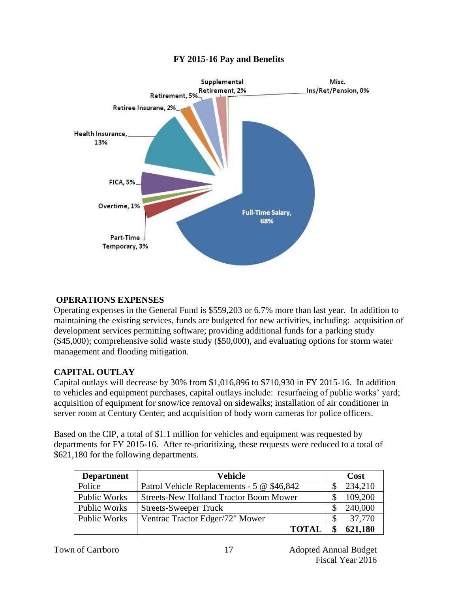

### **FY 2015-16 Pay and Benefits**

#### **OPERATIONS EXPENSES**

Operating expenses in the General Fund is \$559,203 or 6.7% more than last year. In addition to maintaining the existing services, funds are budgeted for new activities, including: acquisition of development services permitting software; providing additional funds for a parking study (\$45,000); comprehensive solid waste study (\$50,000), and evaluating options for storm water management and flooding mitigation.

#### **CAPITAL OUTLAY**

Capital outlays will decrease by 30% from \$1,016,896 to \$710,930 in FY 2015-16. In addition to vehicles and equipment purchases, capital outlays include: resurfacing of public works' yard; acquisition of equipment for snow/ice removal on sidewalks; installation of air conditioner in server room at Century Center; and acquisition of body worn cameras for police officers.

Based on the CIP, a total of \$1.1 million for vehicles and equipment was requested by departments for FY 2015-16. After re-prioritizing, these requests were reduced to a total of \$621,180 for the following departments.

| <b>Department</b>   | Vehicle                                       | Cost          |
|---------------------|-----------------------------------------------|---------------|
| Police              | Patrol Vehicle Replacements - 5 @ \$46,842    | 234,210       |
| <b>Public Works</b> | <b>Streets-New Holland Tractor Boom Mower</b> | 109,200       |
| <b>Public Works</b> | <b>Streets-Sweeper Truck</b>                  | 240,000       |
| <b>Public Works</b> | Ventrac Tractor Edger/72" Mower               | 37,770        |
|                     | <b>TOTAL</b>                                  | \$<br>621,180 |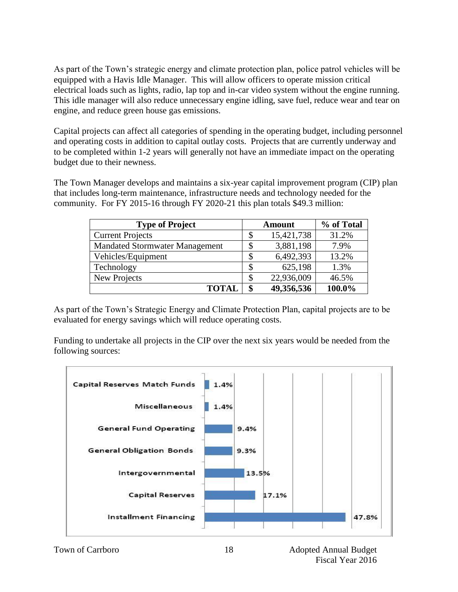As part of the Town's strategic energy and climate protection plan, police patrol vehicles will be equipped with a Havis Idle Manager. This will allow officers to operate mission critical electrical loads such as lights, radio, lap top and in-car video system without the engine running. This idle manager will also reduce unnecessary engine idling, save fuel, reduce wear and tear on engine, and reduce green house gas emissions.

Capital projects can affect all categories of spending in the operating budget, including personnel and operating costs in addition to capital outlay costs. Projects that are currently underway and to be completed within 1-2 years will generally not have an immediate impact on the operating budget due to their newness.

The Town Manager develops and maintains a six-year capital improvement program (CIP) plan that includes long-term maintenance, infrastructure needs and technology needed for the community. For FY 2015-16 through FY 2020-21 this plan totals \$49.3 million:

| <b>Type of Project</b>                |   | <b>Amount</b> | % of Total |
|---------------------------------------|---|---------------|------------|
| <b>Current Projects</b>               | S | 15,421,738    | 31.2%      |
| <b>Mandated Stormwater Management</b> |   | 3,881,198     | 7.9%       |
| Vehicles/Equipment                    |   | 6,492,393     | 13.2%      |
| Technology                            |   | 625,198       | 1.3%       |
| New Projects                          |   | 22,936,009    | 46.5%      |
| <b>TOTAL</b>                          |   | 49,356,536    | 100.0%     |

As part of the Town's Strategic Energy and Climate Protection Plan, capital projects are to be evaluated for energy savings which will reduce operating costs.

Funding to undertake all projects in the CIP over the next six years would be needed from the following sources:

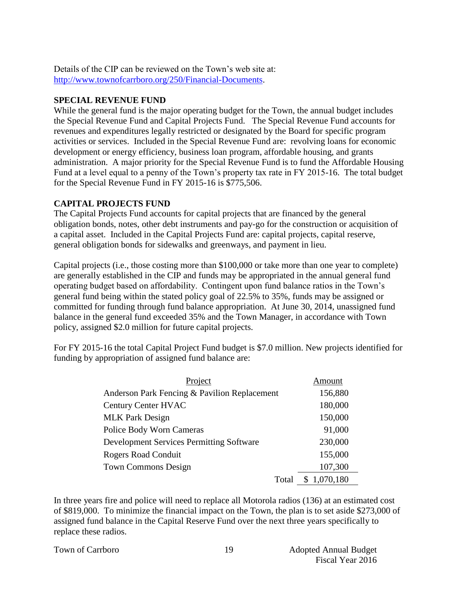Details of the CIP can be reviewed on the Town's web site at: [http://www.townofcarrboro.org/250/Financial-Documents.](http://www.townofcarrboro.org/250/Financial-Documents)

#### **SPECIAL REVENUE FUND**

While the general fund is the major operating budget for the Town, the annual budget includes the Special Revenue Fund and Capital Projects Fund. The Special Revenue Fund accounts for revenues and expenditures legally restricted or designated by the Board for specific program activities or services. Included in the Special Revenue Fund are: revolving loans for economic development or energy efficiency, business loan program, affordable housing, and grants administration. A major priority for the Special Revenue Fund is to fund the Affordable Housing Fund at a level equal to a penny of the Town's property tax rate in FY 2015-16. The total budget for the Special Revenue Fund in FY 2015-16 is \$775,506.

#### **CAPITAL PROJECTS FUND**

The Capital Projects Fund accounts for capital projects that are financed by the general obligation bonds, notes, other debt instruments and pay-go for the construction or acquisition of a capital asset. Included in the Capital Projects Fund are: capital projects, capital reserve, general obligation bonds for sidewalks and greenways, and payment in lieu.

Capital projects (i.e., those costing more than \$100,000 or take more than one year to complete) are generally established in the CIP and funds may be appropriated in the annual general fund operating budget based on affordability. Contingent upon fund balance ratios in the Town's general fund being within the stated policy goal of 22.5% to 35%, funds may be assigned or committed for funding through fund balance appropriation. At June 30, 2014, unassigned fund balance in the general fund exceeded 35% and the Town Manager, in accordance with Town policy, assigned \$2.0 million for future capital projects.

For FY 2015-16 the total Capital Project Fund budget is \$7.0 million. New projects identified for funding by appropriation of assigned fund balance are:

| Project                                         | Amount      |
|-------------------------------------------------|-------------|
| Anderson Park Fencing & Pavilion Replacement    | 156,880     |
| <b>Century Center HVAC</b>                      | 180,000     |
| <b>MLK Park Design</b>                          | 150,000     |
| <b>Police Body Worn Cameras</b>                 | 91,000      |
| <b>Development Services Permitting Software</b> | 230,000     |
| <b>Rogers Road Conduit</b>                      | 155,000     |
| <b>Town Commons Design</b>                      | 107,300     |
| Total                                           | \$1,070,180 |

In three years fire and police will need to replace all Motorola radios (136) at an estimated cost of \$819,000. To minimize the financial impact on the Town, the plan is to set aside \$273,000 of assigned fund balance in the Capital Reserve Fund over the next three years specifically to replace these radios.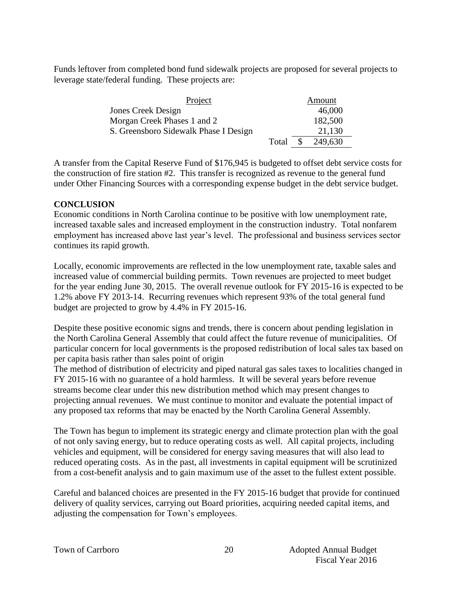Funds leftover from completed bond fund sidewalk projects are proposed for several projects to leverage state/federal funding. These projects are:

| Project                               |          |  | Amount  |
|---------------------------------------|----------|--|---------|
| <b>Jones Creek Design</b>             |          |  | 46,000  |
| Morgan Creek Phases 1 and 2           |          |  | 182,500 |
| S. Greensboro Sidewalk Phase I Design |          |  | 21,130  |
|                                       | Total \$ |  | 249,630 |

A transfer from the Capital Reserve Fund of \$176,945 is budgeted to offset debt service costs for the construction of fire station #2. This transfer is recognized as revenue to the general fund under Other Financing Sources with a corresponding expense budget in the debt service budget.

#### **CONCLUSION**

Economic conditions in North Carolina continue to be positive with low unemployment rate, increased taxable sales and increased employment in the construction industry. Total nonfarem employment has increased above last year's level. The professional and business services sector continues its rapid growth.

Locally, economic improvements are reflected in the low unemployment rate, taxable sales and increased value of commercial building permits. Town revenues are projected to meet budget for the year ending June 30, 2015. The overall revenue outlook for FY 2015-16 is expected to be 1.2% above FY 2013-14. Recurring revenues which represent 93% of the total general fund budget are projected to grow by 4.4% in FY 2015-16.

Despite these positive economic signs and trends, there is concern about pending legislation in the North Carolina General Assembly that could affect the future revenue of municipalities. Of particular concern for local governments is the proposed redistribution of local sales tax based on per capita basis rather than sales point of origin

The method of distribution of electricity and piped natural gas sales taxes to localities changed in FY 2015-16 with no guarantee of a hold harmless. It will be several years before revenue streams become clear under this new distribution method which may present changes to projecting annual revenues. We must continue to monitor and evaluate the potential impact of any proposed tax reforms that may be enacted by the North Carolina General Assembly.

The Town has begun to implement its strategic energy and climate protection plan with the goal of not only saving energy, but to reduce operating costs as well. All capital projects, including vehicles and equipment, will be considered for energy saving measures that will also lead to reduced operating costs. As in the past, all investments in capital equipment will be scrutinized from a cost-benefit analysis and to gain maximum use of the asset to the fullest extent possible.

Careful and balanced choices are presented in the FY 2015-16 budget that provide for continued delivery of quality services, carrying out Board priorities, acquiring needed capital items, and adjusting the compensation for Town's employees.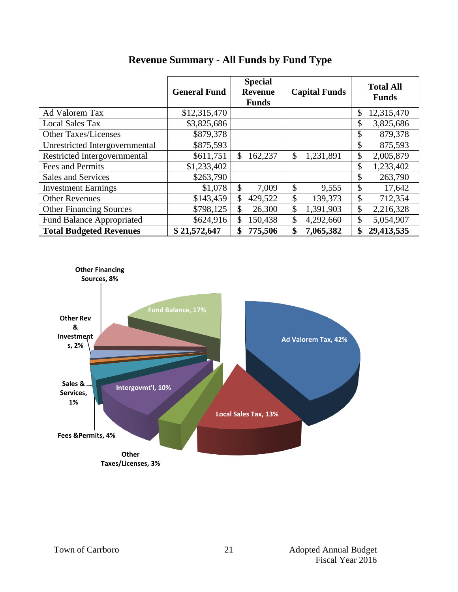|                                  | <b>General Fund</b> | <b>Special</b><br><b>Revenue</b><br><b>Funds</b> | <b>Capital Funds</b> | <b>Total All</b><br><b>Funds</b> |
|----------------------------------|---------------------|--------------------------------------------------|----------------------|----------------------------------|
| Ad Valorem Tax                   | \$12,315,470        |                                                  |                      | \$<br>12,315,470                 |
| <b>Local Sales Tax</b>           | \$3,825,686         |                                                  |                      | \$<br>3,825,686                  |
| <b>Other Taxes/Licenses</b>      | \$879,378           |                                                  |                      | \$<br>879,378                    |
| Unrestricted Intergovernmental   | \$875,593           |                                                  |                      | \$<br>875,593                    |
| Restricted Intergovernmental     | \$611,751           | \$<br>162,237                                    | \$<br>1,231,891      | \$<br>2,005,879                  |
| Fees and Permits                 | \$1,233,402         |                                                  |                      | \$<br>1,233,402                  |
| Sales and Services               | \$263,790           |                                                  |                      | \$<br>263,790                    |
| <b>Investment Earnings</b>       | \$1,078             | $\mathcal{S}$<br>7,009                           | \$<br>9,555          | \$<br>17,642                     |
| <b>Other Revenues</b>            | \$143,459           | \$<br>429,522                                    | \$<br>139,373        | \$<br>712,354                    |
| <b>Other Financing Sources</b>   | \$798,125           | \$<br>26,300                                     | \$<br>1,391,903      | \$<br>2,216,328                  |
| <b>Fund Balance Appropriated</b> | \$624,916           | \$<br>150,438                                    | \$<br>4,292,660      | \$<br>5,054,907                  |
| <b>Total Budgeted Revenues</b>   | \$21,572,647        | 775,506<br>\$                                    | \$<br>7,065,382      | 29,413,535<br>\$                 |

## **Revenue Summary - All Funds by Fund Type**

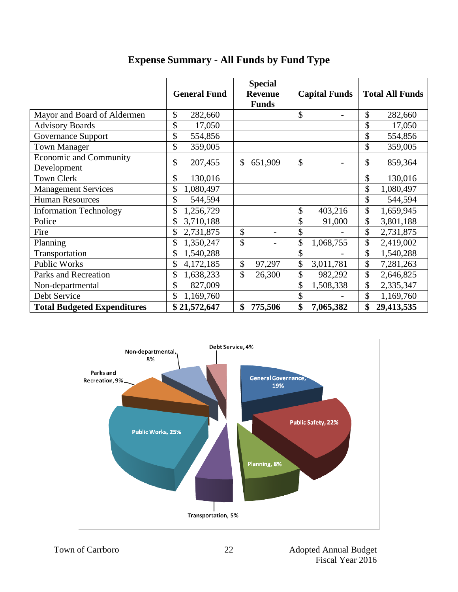|                                              | <b>General Fund</b> | <b>Special</b><br><b>Revenue</b><br><b>Funds</b> | <b>Capital Funds</b>           | <b>Total All Funds</b> |
|----------------------------------------------|---------------------|--------------------------------------------------|--------------------------------|------------------------|
| Mayor and Board of Aldermen                  | \$<br>282,660       |                                                  | \$<br>$\overline{\phantom{a}}$ | \$<br>282,660          |
| <b>Advisory Boards</b>                       | \$<br>17,050        |                                                  |                                | \$<br>17,050           |
| <b>Governance Support</b>                    | \$<br>554,856       |                                                  |                                | \$<br>554,856          |
| <b>Town Manager</b>                          | \$<br>359,005       |                                                  |                                | \$<br>359,005          |
| <b>Economic and Community</b><br>Development | \$<br>207,455       | $\mathbb{S}$<br>651,909                          | \$                             | \$<br>859,364          |
| <b>Town Clerk</b>                            | \$<br>130,016       |                                                  |                                | \$<br>130,016          |
| <b>Management Services</b>                   | \$<br>1,080,497     |                                                  |                                | \$<br>1,080,497        |
| <b>Human Resources</b>                       | \$<br>544,594       |                                                  |                                | \$<br>544,594          |
| <b>Information Technology</b>                | \$<br>1,256,729     |                                                  | \$<br>403,216                  | \$<br>1,659,945        |
| Police                                       | \$<br>3,710,188     |                                                  | \$<br>91,000                   | \$<br>3,801,188        |
| Fire                                         | \$<br>2,731,875     | \$                                               | \$                             | \$<br>2,731,875        |
| Planning                                     | \$<br>1,350,247     | \$                                               | \$<br>1,068,755                | \$<br>2,419,002        |
| Transportation                               | \$<br>1,540,288     |                                                  | \$                             | \$<br>1,540,288        |
| <b>Public Works</b>                          | \$<br>4,172,185     | \$<br>97,297                                     | \$<br>3,011,781                | \$<br>7,281,263        |
| Parks and Recreation                         | \$<br>1,638,233     | \$<br>26,300                                     | \$<br>982,292                  | \$<br>2,646,825        |
| Non-departmental                             | \$<br>827,009       |                                                  | \$<br>1,508,338                | \$<br>2,335,347        |
| Debt Service                                 | \$<br>1,169,760     |                                                  | \$                             | \$<br>1,169,760        |
| <b>Total Budgeted Expenditures</b>           | \$21,572,647        | \$<br>775,506                                    | \$<br>7,065,382                | \$<br>29,413,535       |

## **Expense Summary - All Funds by Fund Type**

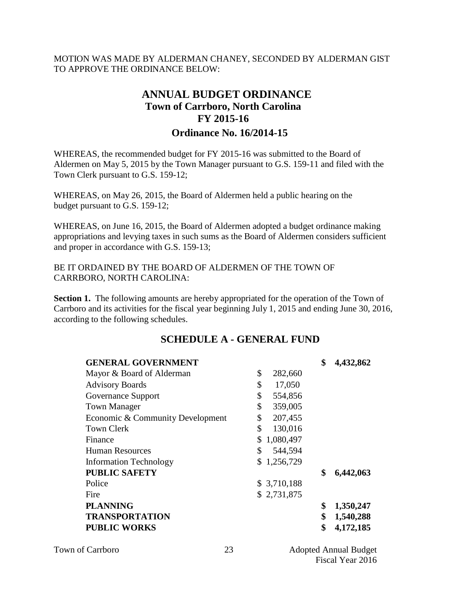MOTION WAS MADE BY ALDERMAN CHANEY, SECONDED BY ALDERMAN GIST TO APPROVE THE ORDINANCE BELOW:

## **ANNUAL BUDGET ORDINANCE Town of Carrboro, North Carolina FY 2015-16 Ordinance No. 16/2014-15**

WHEREAS, the recommended budget for FY 2015-16 was submitted to the Board of Aldermen on May 5, 2015 by the Town Manager pursuant to G.S. 159-11 and filed with the Town Clerk pursuant to G.S. 159-12;

WHEREAS, on May 26, 2015, the Board of Aldermen held a public hearing on the budget pursuant to G.S. 159-12;

WHEREAS, on June 16, 2015, the Board of Aldermen adopted a budget ordinance making appropriations and levying taxes in such sums as the Board of Aldermen considers sufficient and proper in accordance with G.S. 159-13;

BE IT ORDAINED BY THE BOARD OF ALDERMEN OF THE TOWN OF CARRBORO, NORTH CAROLINA:

**Section 1.** The following amounts are hereby appropriated for the operation of the Town of Carrboro and its activities for the fiscal year beginning July 1, 2015 and ending June 30, 2016, according to the following schedules.

#### **SCHEDULE A - GENERAL FUND**

| <b>GENERAL GOVERNMENT</b>        |                 | \$<br>4,432,862 |
|----------------------------------|-----------------|-----------------|
| Mayor & Board of Alderman        | \$<br>282,660   |                 |
| <b>Advisory Boards</b>           | \$<br>17,050    |                 |
| Governance Support               | \$<br>554,856   |                 |
| <b>Town Manager</b>              | \$<br>359,005   |                 |
| Economic & Community Development | \$<br>207,455   |                 |
| <b>Town Clerk</b>                | \$<br>130,016   |                 |
| Finance                          | \$<br>1,080,497 |                 |
| <b>Human Resources</b>           | \$<br>544,594   |                 |
| <b>Information Technology</b>    | 1,256,729       |                 |
| <b>PUBLIC SAFETY</b>             |                 | \$<br>6,442,063 |
| Police                           | \$3,710,188     |                 |
| Fire                             | \$2,731,875     |                 |
| <b>PLANNING</b>                  |                 | \$<br>1,350,247 |
| <b>TRANSPORTATION</b>            |                 | \$<br>1,540,288 |
| <b>PUBLIC WORKS</b>              |                 | \$<br>4,172,185 |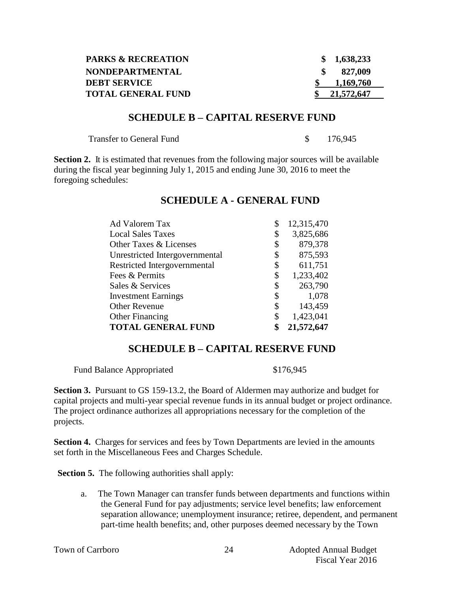| <b>PARKS &amp; RECREATION</b> | \$1,638,233 |
|-------------------------------|-------------|
| <b>NONDEPARTMENTAL</b>        | 827,009     |
| <b>DEBT SERVICE</b>           | 1,169,760   |
| <b>TOTAL GENERAL FUND</b>     | 21,572,647  |

#### **SCHEDULE B – CAPITAL RESERVE FUND**

| <b>Transfer to General Fund</b> |  | 176,945 |
|---------------------------------|--|---------|
|---------------------------------|--|---------|

**Section 2.** It is estimated that revenues from the following major sources will be available during the fiscal year beginning July 1, 2015 and ending June 30, 2016 to meet the foregoing schedules:

| Ad Valorem Tax                 | \$<br>12,315,470 |
|--------------------------------|------------------|
| <b>Local Sales Taxes</b>       | \$<br>3,825,686  |
| Other Taxes & Licenses         | \$<br>879,378    |
| Unrestricted Intergovernmental | \$<br>875,593    |
| Restricted Intergovernmental   | \$<br>611,751    |
| Fees & Permits                 | \$<br>1,233,402  |
| Sales & Services               | \$<br>263,790    |
| <b>Investment Earnings</b>     | \$<br>1,078      |
| <b>Other Revenue</b>           | \$<br>143,459    |
| <b>Other Financing</b>         | \$<br>1,423,041  |
| <b>TOTAL GENERAL FUND</b>      | \$<br>21,572,647 |

#### **SCHEDULE A - GENERAL FUND**

### **SCHEDULE B – CAPITAL RESERVE FUND**

Fund Balance Appropriated \$176,945

**Section 3.** Pursuant to GS 159-13.2, the Board of Aldermen may authorize and budget for capital projects and multi-year special revenue funds in its annual budget or project ordinance. The project ordinance authorizes all appropriations necessary for the completion of the projects.

**Section 4.** Charges for services and fees by Town Departments are levied in the amounts set forth in the Miscellaneous Fees and Charges Schedule.

**Section 5.** The following authorities shall apply:

a. The Town Manager can transfer funds between departments and functions within the General Fund for pay adjustments; service level benefits; law enforcement separation allowance; unemployment insurance; retiree, dependent, and permanent part-time health benefits; and, other purposes deemed necessary by the Town